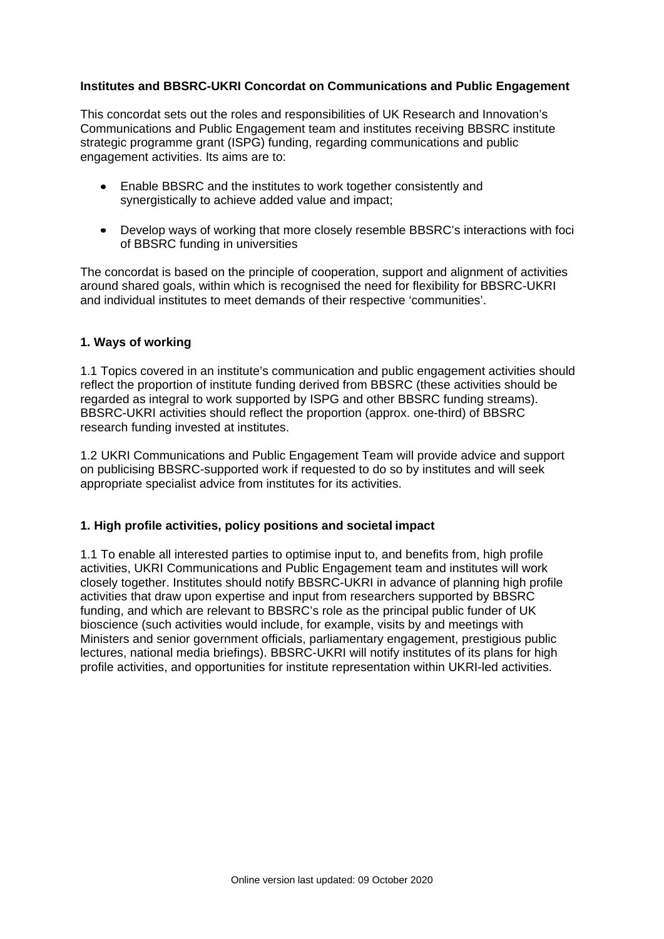## **Institutes and BBSRC-UKRI Concordat on Communications and Public Engagement**

This concordat sets out the roles and responsibilities of UK Research and Innovation's Communications and Public Engagement team and institutes receiving BBSRC institute strategic programme grant (ISPG) funding, regarding communications and public engagement activities. Its aims are to:

- Enable BBSRC and the institutes to work together consistently and synergistically to achieve added value and impact;
- Develop ways of working that more closely resemble BBSRC's interactions with foci of BBSRC funding in universities

The concordat is based on the principle of cooperation, support and alignment of activities around shared goals, within which is recognised the need for flexibility for BBSRC-UKRI and individual institutes to meet demands of their respective 'communities'.

## **1. Ways of working**

1.1 Topics covered in an institute's communication and public engagement activities should reflect the proportion of institute funding derived from BBSRC (these activities should be regarded as integral to work supported by ISPG and other BBSRC funding streams). BBSRC-UKRI activities should reflect the proportion (approx. one-third) of BBSRC research funding invested at institutes.

1.2 UKRI Communications and Public Engagement Team will provide advice and support on publicising BBSRC-supported work if requested to do so by institutes and will seek appropriate specialist advice from institutes for its activities.

## **1. High profile activities, policy positions and societal impact**

1.1 To enable all interested parties to optimise input to, and benefits from, high profile activities, UKRI Communications and Public Engagement team and institutes will work closely together. Institutes should notify BBSRC-UKRI in advance of planning high profile activities that draw upon expertise and input from researchers supported by BBSRC funding, and which are relevant to BBSRC's role as the principal public funder of UK bioscience (such activities would include, for example, visits by and meetings with Ministers and senior government officials, parliamentary engagement, prestigious public lectures, national media briefings). BBSRC-UKRI will notify institutes of its plans for high profile activities, and opportunities for institute representation within UKRI-led activities.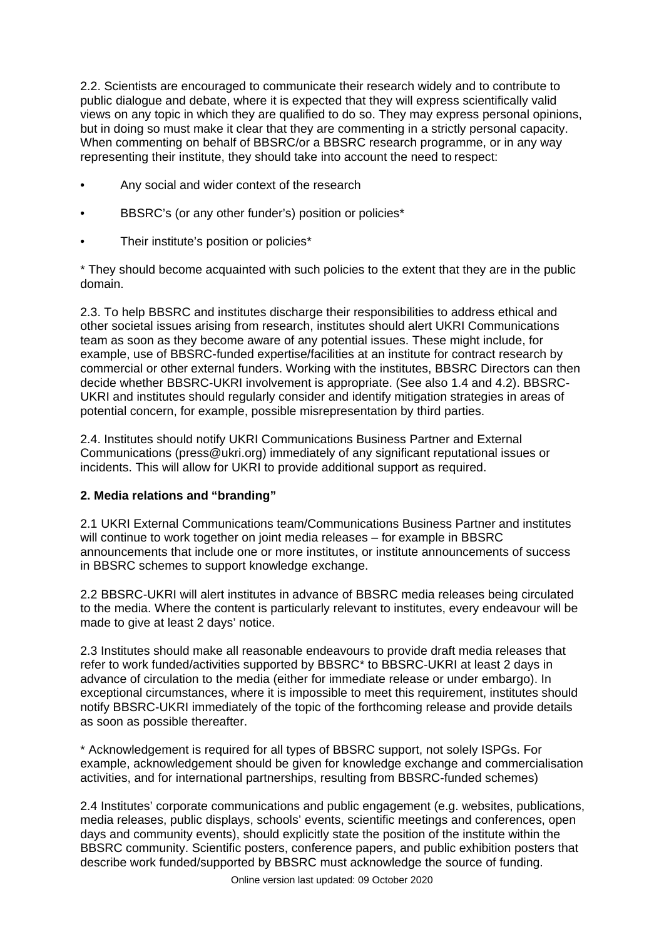2.2. Scientists are encouraged to communicate their research widely and to contribute to public dialogue and debate, where it is expected that they will express scientifically valid views on any topic in which they are qualified to do so. They may express personal opinions, but in doing so must make it clear that they are commenting in a strictly personal capacity. When commenting on behalf of BBSRC/or a BBSRC research programme, or in any way representing their institute, they should take into account the need to respect:

- Any social and wider context of the research
- BBSRC's (or any other funder's) position or policies\*
- Their institute's position or policies\*

\* They should become acquainted with such policies to the extent that they are in the public domain.

2.3. To help BBSRC and institutes discharge their responsibilities to address ethical and other societal issues arising from research, institutes should alert UKRI Communications team as soon as they become aware of any potential issues. These might include, for example, use of BBSRC-funded expertise/facilities at an institute for contract research by commercial or other external funders. Working with the institutes, BBSRC Directors can then decide whether BBSRC-UKRI involvement is appropriate. (See also 1.4 and 4.2). BBSRC-UKRI and institutes should regularly consider and identify mitigation strategies in areas of potential concern, for example, possible misrepresentation by third parties.

2.4. Institutes should notify UKRI Communications Business Partner and External Communications (press@ukri.org) immediately of any significant reputational issues or incidents. This will allow for UKRI to provide additional support as required.

# **2. Media relations and "branding"**

2.1 UKRI External Communications team/Communications Business Partner and institutes will continue to work together on joint media releases – for example in BBSRC announcements that include one or more institutes, or institute announcements of success in BBSRC schemes to support knowledge exchange.

2.2 BBSRC-UKRI will alert institutes in advance of BBSRC media releases being circulated to the media. Where the content is particularly relevant to institutes, every endeavour will be made to give at least 2 days' notice.

2.3 Institutes should make all reasonable endeavours to provide draft media releases that refer to work funded/activities supported by BBSRC\* to BBSRC-UKRI at least 2 days in advance of circulation to the media (either for immediate release or under embargo). In exceptional circumstances, where it is impossible to meet this requirement, institutes should notify BBSRC-UKRI immediately of the topic of the forthcoming release and provide details as soon as possible thereafter.

\* Acknowledgement is required for all types of BBSRC support, not solely ISPGs. For example, acknowledgement should be given for knowledge exchange and commercialisation activities, and for international partnerships, resulting from BBSRC-funded schemes)

2.4 Institutes' corporate communications and public engagement (e.g. websites, publications, media releases, public displays, schools' events, scientific meetings and conferences, open days and community events), should explicitly state the position of the institute within the BBSRC community. Scientific posters, conference papers, and public exhibition posters that describe work funded/supported by BBSRC must acknowledge the source of funding.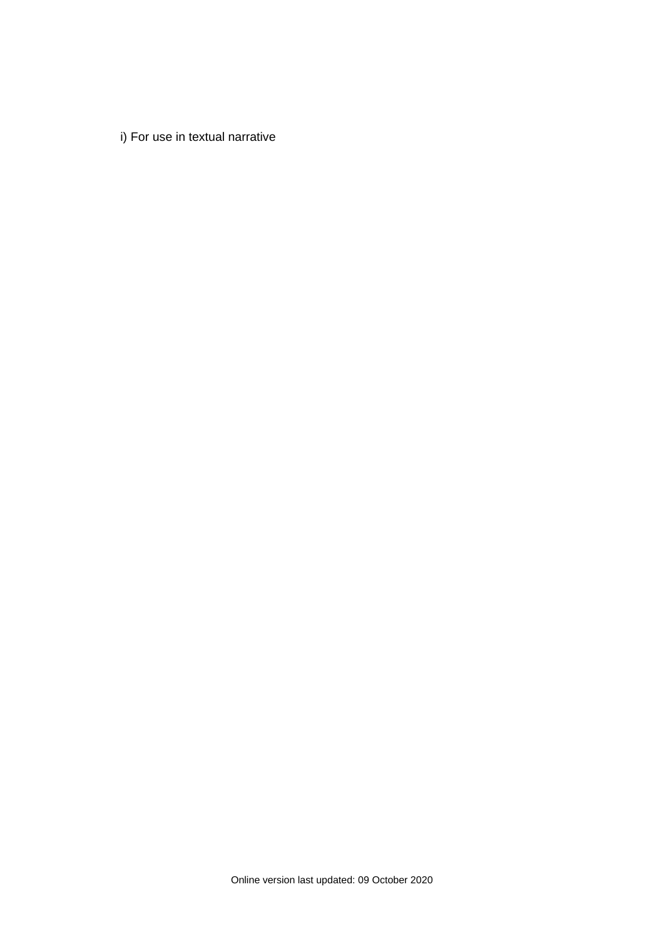i) For use in textual narrative